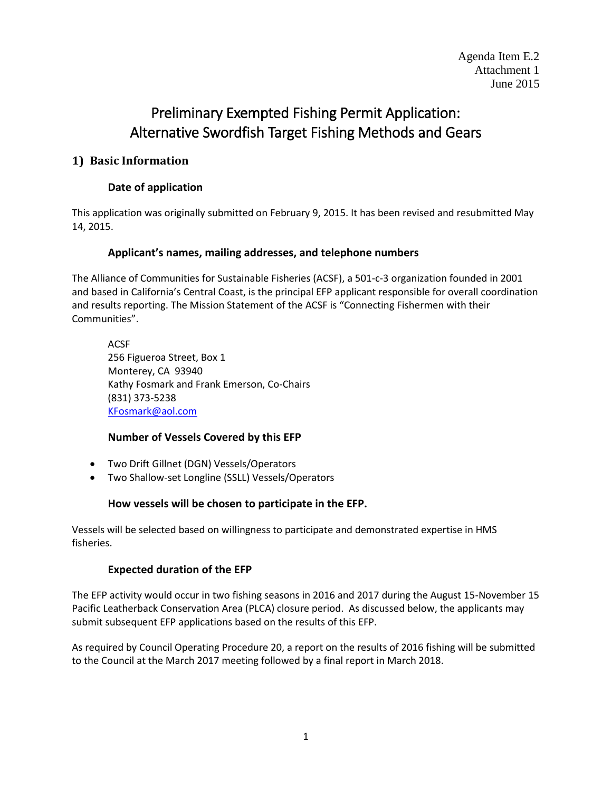# Preliminary Exempted Fishing Permit Application: Alternative Swordfish Target Fishing Methods and Gears

### **1) Basic Information**

## **Date of application**

This application was originally submitted on February 9, 2015. It has been revised and resubmitted May 14, 2015.

#### **Applicant's names, mailing addresses, and telephone numbers**

The Alliance of Communities for Sustainable Fisheries (ACSF), a 501-c-3 organization founded in 2001 and based in California's Central Coast, is the principal EFP applicant responsible for overall coordination and results reporting. The Mission Statement of the ACSF is "Connecting Fishermen with their Communities".

ACSF 256 Figueroa Street, Box 1 Monterey, CA 93940 Kathy Fosmark and Frank Emerson, Co-Chairs (831) 373-5238 [KFosmark@aol.com](mailto:KFosmark@aol.com)

### **Number of Vessels Covered by this EFP**

- Two Drift Gillnet (DGN) Vessels/Operators
- Two Shallow-set Longline (SSLL) Vessels/Operators

#### **How vessels will be chosen to participate in the EFP.**

Vessels will be selected based on willingness to participate and demonstrated expertise in HMS fisheries.

#### **Expected duration of the EFP**

The EFP activity would occur in two fishing seasons in 2016 and 2017 during the August 15-November 15 Pacific Leatherback Conservation Area (PLCA) closure period. As discussed below, the applicants may submit subsequent EFP applications based on the results of this EFP.

As required by Council Operating Procedure 20, a report on the results of 2016 fishing will be submitted to the Council at the March 2017 meeting followed by a final report in March 2018.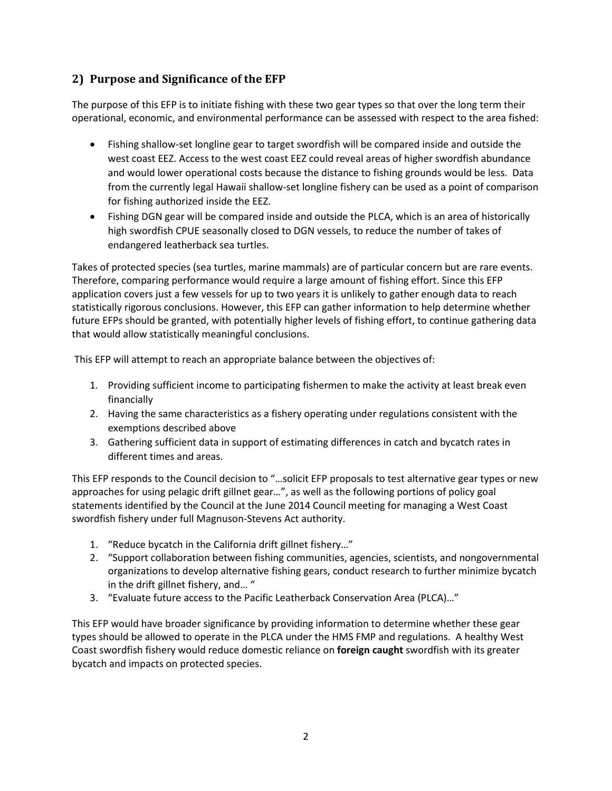# **2) Purpose and Significance of the EFP**

The purpose of this EFP is to initiate fishing with these two gear types so that over the long term their operational, economic, and environmental performance can be assessed with respect to the area fished:

- Fishing shallow-set longline gear to target swordfish will be compared inside and outside the west coast EEZ. Access to the west coast EEZ could reveal areas of higher swordfish abundance and would lower operational costs because the distance to fishing grounds would be less. Data from the currently legal Hawaii shallow-set longline fishery can be used as a point of comparison for fishing authorized inside the EEZ.
- Fishing DGN gear will be compared inside and outside the PLCA, which is an area of historically high swordfish CPUE seasonally closed to DGN vessels, to reduce the number of takes of endangered leatherback sea turtles.

Takes of protected species (sea turtles, marine mammals) are of particular concern but are rare events. Therefore, comparing performance would require a large amount of fishing effort. Since this EFP application covers just a few vessels for up to two years it is unlikely to gather enough data to reach statistically rigorous conclusions. However, this EFP can gather information to help determine whether future EFPs should be granted, with potentially higher levels of fishing effort, to continue gathering data that would allow statistically meaningful conclusions.

This EFP will attempt to reach an appropriate balance between the objectives of:

- 1. Providing sufficient income to participating fishermen to make the activity at least break even financially
- 2. Having the same characteristics as a fishery operating under regulations consistent with the exemptions described above
- 3. Gathering sufficient data in support of estimating differences in catch and bycatch rates in different times and areas.

This EFP responds to the Council decision to "…solicit EFP proposals to test alternative gear types or new approaches for using pelagic drift gillnet gear…", as well as the following portions of policy goal statements identified by the Council at the June 2014 Council meeting for managing a West Coast swordfish fishery under full Magnuson-Stevens Act authority.

- 1. "Reduce bycatch in the California drift gillnet fishery…"
- 2. "Support collaboration between fishing communities, agencies, scientists, and nongovernmental organizations to develop alternative fishing gears, conduct research to further minimize bycatch in the drift gillnet fishery, and… "
- 3. "Evaluate future access to the Pacific Leatherback Conservation Area (PLCA)…"

This EFP would have broader significance by providing information to determine whether these gear types should be allowed to operate in the PLCA under the HMS FMP and regulations. A healthy West Coast swordfish fishery would reduce domestic reliance on **foreign caught** swordfish with its greater bycatch and impacts on protected species.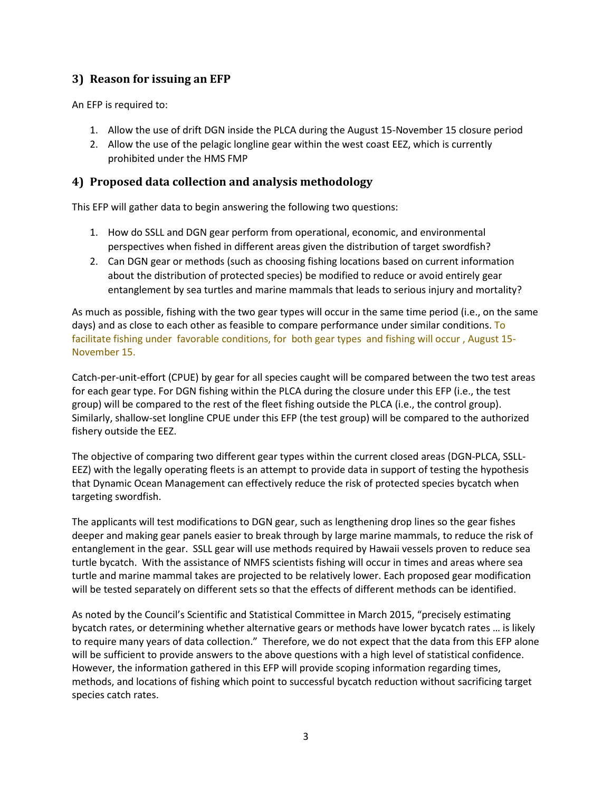## **3) Reason for issuing an EFP**

An EFP is required to:

- 1. Allow the use of drift DGN inside the PLCA during the August 15-November 15 closure period
- 2. Allow the use of the pelagic longline gear within the west coast EEZ, which is currently prohibited under the HMS FMP

## **4) Proposed data collection and analysis methodology**

This EFP will gather data to begin answering the following two questions:

- 1. How do SSLL and DGN gear perform from operational, economic, and environmental perspectives when fished in different areas given the distribution of target swordfish?
- 2. Can DGN gear or methods (such as choosing fishing locations based on current information about the distribution of protected species) be modified to reduce or avoid entirely gear entanglement by sea turtles and marine mammals that leads to serious injury and mortality?

As much as possible, fishing with the two gear types will occur in the same time period (i.e., on the same days) and as close to each other as feasible to compare performance under similar conditions. To facilitate fishing under favorable conditions, for both gear types and fishing will occur , August 15- November 15.

Catch-per-unit-effort (CPUE) by gear for all species caught will be compared between the two test areas for each gear type. For DGN fishing within the PLCA during the closure under this EFP (i.e., the test group) will be compared to the rest of the fleet fishing outside the PLCA (i.e., the control group). Similarly, shallow-set longline CPUE under this EFP (the test group) will be compared to the authorized fishery outside the EEZ.

The objective of comparing two different gear types within the current closed areas (DGN-PLCA, SSLL-EEZ) with the legally operating fleets is an attempt to provide data in support of testing the hypothesis that Dynamic Ocean Management can effectively reduce the risk of protected species bycatch when targeting swordfish.

The applicants will test modifications to DGN gear, such as lengthening drop lines so the gear fishes deeper and making gear panels easier to break through by large marine mammals, to reduce the risk of entanglement in the gear. SSLL gear will use methods required by Hawaii vessels proven to reduce sea turtle bycatch. With the assistance of NMFS scientists fishing will occur in times and areas where sea turtle and marine mammal takes are projected to be relatively lower. Each proposed gear modification will be tested separately on different sets so that the effects of different methods can be identified.

As noted by the Council's Scientific and Statistical Committee in March 2015, "precisely estimating bycatch rates, or determining whether alternative gears or methods have lower bycatch rates … is likely to require many years of data collection." Therefore, we do not expect that the data from this EFP alone will be sufficient to provide answers to the above questions with a high level of statistical confidence. However, the information gathered in this EFP will provide scoping information regarding times, methods, and locations of fishing which point to successful bycatch reduction without sacrificing target species catch rates.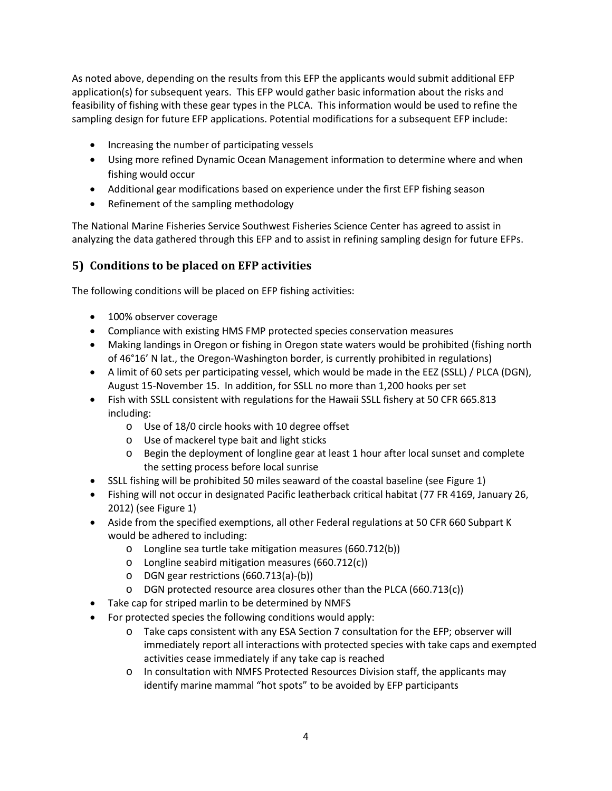As noted above, depending on the results from this EFP the applicants would submit additional EFP application(s) for subsequent years. This EFP would gather basic information about the risks and feasibility of fishing with these gear types in the PLCA. This information would be used to refine the sampling design for future EFP applications. Potential modifications for a subsequent EFP include:

- Increasing the number of participating vessels
- Using more refined Dynamic Ocean Management information to determine where and when fishing would occur
- Additional gear modifications based on experience under the first EFP fishing season
- Refinement of the sampling methodology

The National Marine Fisheries Service Southwest Fisheries Science Center has agreed to assist in analyzing the data gathered through this EFP and to assist in refining sampling design for future EFPs.

# **5) Conditions to be placed on EFP activities**

The following conditions will be placed on EFP fishing activities:

- 100% observer coverage
- Compliance with existing HMS FMP protected species conservation measures
- Making landings in Oregon or fishing in Oregon state waters would be prohibited (fishing north of 46°16' N lat., the Oregon-Washington border, is currently prohibited in regulations)
- A limit of 60 sets per participating vessel, which would be made in the EEZ (SSLL) / PLCA (DGN), August 15-November 15. In addition, for SSLL no more than 1,200 hooks per set
- Fish with SSLL consistent with regulations for the Hawaii SSLL fishery at 50 CFR 665.813 including:
	- o Use of 18/0 circle hooks with 10 degree offset
	- o Use of mackerel type bait and light sticks
	- o Begin the deployment of longline gear at least 1 hour after local sunset and complete the setting process before local sunrise
- SSLL fishing will be prohibited 50 miles seaward of the coastal baseline (se[e Figure 1\)](#page-8-0)
- Fishing will not occur in designated Pacific leatherback critical habitat (77 FR 4169, January 26, 2012) (see [Figure 1\)](#page-8-0)
- Aside from the specified exemptions, all other Federal regulations at 50 CFR 660 Subpart K would be adhered to including:
	- o Longline sea turtle take mitigation measures (660.712(b))
	- o Longline seabird mitigation measures (660.712(c))
	- o DGN gear restrictions (660.713(a)-(b))
	- o DGN protected resource area closures other than the PLCA (660.713(c))
- Take cap for striped marlin to be determined by NMFS
- For protected species the following conditions would apply:
	- o Take caps consistent with any ESA Section 7 consultation for the EFP; observer will immediately report all interactions with protected species with take caps and exempted activities cease immediately if any take cap is reached
	- o In consultation with NMFS Protected Resources Division staff, the applicants may identify marine mammal "hot spots" to be avoided by EFP participants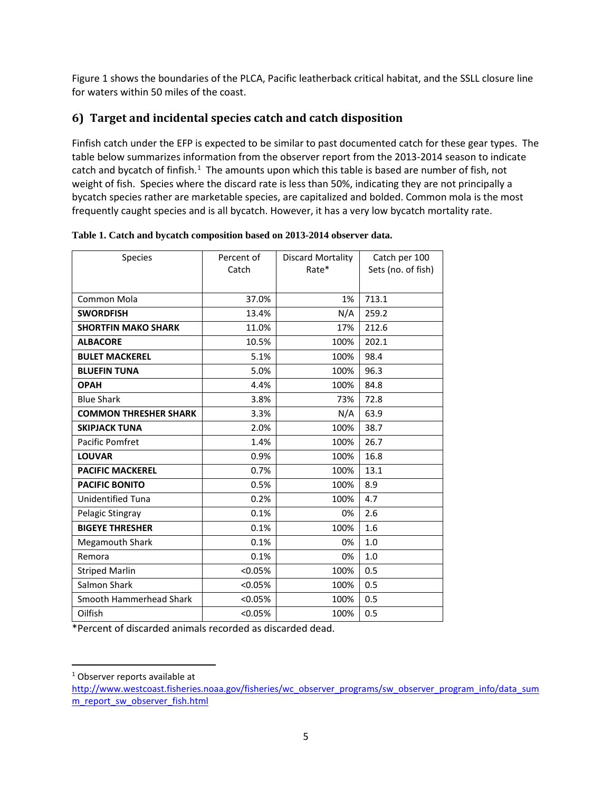[Figure 1](#page-8-0) shows the boundaries of the PLCA, Pacific leatherback critical habitat, and the SSLL closure line for waters within 50 miles of the coast.

## **6) Target and incidental species catch and catch disposition**

Finfish catch under the EFP is expected to be similar to past documented catch for these gear types. The table below summarizes information from the observer report from the 2013-2014 season to indicate catch and bycatch of finfish.<sup>[1](#page-4-0)</sup> The amounts upon which this table is based are number of fish, not weight of fish. Species where the discard rate is less than 50%, indicating they are not principally a bycatch species rather are marketable species, are capitalized and bolded. Common mola is the most frequently caught species and is all bycatch. However, it has a very low bycatch mortality rate.

| <b>Species</b>               | Percent of | Discard Mortality | Catch per 100      |
|------------------------------|------------|-------------------|--------------------|
|                              | Catch      | Rate*             | Sets (no. of fish) |
|                              |            |                   |                    |
| Common Mola                  | 37.0%      | 1%                | 713.1              |
| <b>SWORDFISH</b>             | 13.4%      | N/A               | 259.2              |
| <b>SHORTFIN MAKO SHARK</b>   | 11.0%      | 17%               | 212.6              |
| <b>ALBACORE</b>              | 10.5%      | 100%              | 202.1              |
| <b>BULET MACKEREL</b>        | 5.1%       | 100%              | 98.4               |
| <b>BLUEFIN TUNA</b>          | 5.0%       | 100%              | 96.3               |
| <b>OPAH</b>                  | 4.4%       | 100%              | 84.8               |
| <b>Blue Shark</b>            | 3.8%       | 73%               | 72.8               |
| <b>COMMON THRESHER SHARK</b> | 3.3%       | N/A               | 63.9               |
| <b>SKIPJACK TUNA</b>         | 2.0%       | 100%              | 38.7               |
| Pacific Pomfret              | 1.4%       | 100%              | 26.7               |
| <b>LOUVAR</b>                | 0.9%       | 100%              | 16.8               |
| <b>PACIFIC MACKEREL</b>      | 0.7%       | 100%              | 13.1               |
| <b>PACIFIC BONITO</b>        | 0.5%       | 100%              | 8.9                |
| <b>Unidentified Tuna</b>     | 0.2%       | 100%              | 4.7                |
| Pelagic Stingray             | 0.1%       | 0%                | 2.6                |
| <b>BIGEYE THRESHER</b>       | 0.1%       | 100%              | 1.6                |
| <b>Megamouth Shark</b>       | 0.1%       | 0%                | 1.0                |
| Remora                       | 0.1%       | 0%                | 1.0                |
| <b>Striped Marlin</b>        | < 0.05%    | 100%              | 0.5                |
| Salmon Shark                 | $< 0.05\%$ | 100%              | 0.5                |
| Smooth Hammerhead Shark      | < 0.05%    | 100%              | 0.5                |
| Oilfish                      | $< 0.05\%$ | 100%              | 0.5                |

**Table 1. Catch and bycatch composition based on 2013-2014 observer data.**

\*Percent of discarded animals recorded as discarded dead.

<span id="page-4-0"></span><sup>&</sup>lt;sup>1</sup> Observer reports available at

[http://www.westcoast.fisheries.noaa.gov/fisheries/wc\\_observer\\_programs/sw\\_observer\\_program\\_info/data\\_sum](http://www.westcoast.fisheries.noaa.gov/fisheries/wc_observer_programs/sw_observer_program_info/data_summ_report_sw_observer_fish.html) [m\\_report\\_sw\\_observer\\_fish.html](http://www.westcoast.fisheries.noaa.gov/fisheries/wc_observer_programs/sw_observer_program_info/data_summ_report_sw_observer_fish.html)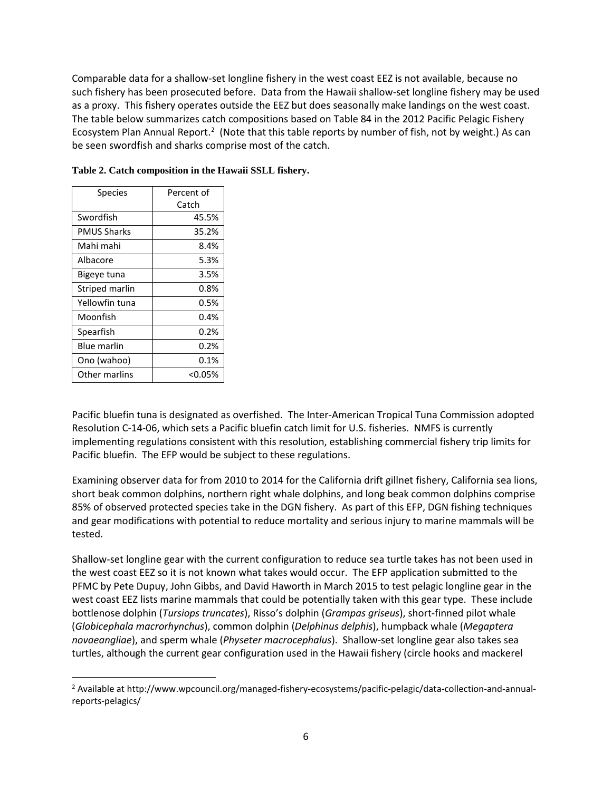Comparable data for a shallow-set longline fishery in the west coast EEZ is not available, because no such fishery has been prosecuted before. Data from the Hawaii shallow-set longline fishery may be used as a proxy. This fishery operates outside the EEZ but does seasonally make landings on the west coast. The table below summarizes catch compositions based on Table 84 in the 2012 Pacific Pelagic Fishery Ecosystem Plan Annual Report.<sup>[2](#page-5-0)</sup> (Note that this table reports by number of fish, not by weight.) As can be seen swordfish and sharks comprise most of the catch.

| <b>Species</b>     | Percent of |  |
|--------------------|------------|--|
|                    | Catch      |  |
| Swordfish          | 45.5%      |  |
| PMUS Sharks        | 35.2%      |  |
| Mahi mahi          | 8.4%       |  |
| Albacore           | 5.3%       |  |
| Bigeye tuna        | 3.5%       |  |
| Striped marlin     | $0.8\%$    |  |
| Yellowfin tuna     | 0.5%       |  |
| Moonfish           | 0.4%       |  |
| Spearfish          | 0.2%       |  |
| <b>Blue marlin</b> | 0.2%       |  |
| Ono (wahoo)        | 0.1%       |  |
| Other marlins      | <0.05%     |  |

**Table 2. Catch composition in the Hawaii SSLL fishery.**

Pacific bluefin tuna is designated as overfished. The Inter-American Tropical Tuna Commission adopted Resolution C-14-06, which sets a Pacific bluefin catch limit for U.S. fisheries. NMFS is currently implementing regulations consistent with this resolution, establishing commercial fishery trip limits for Pacific bluefin. The EFP would be subject to these regulations.

Examining observer data for from 2010 to 2014 for the California drift gillnet fishery, California sea lions, short beak common dolphins, northern right whale dolphins, and long beak common dolphins comprise 85% of observed protected species take in the DGN fishery. As part of this EFP, DGN fishing techniques and gear modifications with potential to reduce mortality and serious injury to marine mammals will be tested.

Shallow-set longline gear with the current configuration to reduce sea turtle takes has not been used in the west coast EEZ so it is not known what takes would occur. The EFP application submitted to the PFMC by Pete Dupuy, John Gibbs, and David Haworth in March 2015 to test pelagic longline gear in the west coast EEZ lists marine mammals that could be potentially taken with this gear type. These include bottlenose dolphin (*Tursiops truncates*), Risso's dolphin (*Grampas griseus*), short-finned pilot whale (*Globicephala macrorhynchus*), common dolphin (*Delphinus delphis*), humpback whale (*Megaptera novaeangliae*), and sperm whale (*Physeter macrocephalus*). Shallow-set longline gear also takes sea turtles, although the current gear configuration used in the Hawaii fishery (circle hooks and mackerel

<span id="page-5-0"></span> <sup>2</sup> Available at http://www.wpcouncil.org/managed-fishery-ecosystems/pacific-pelagic/data-collection-and-annualreports-pelagics/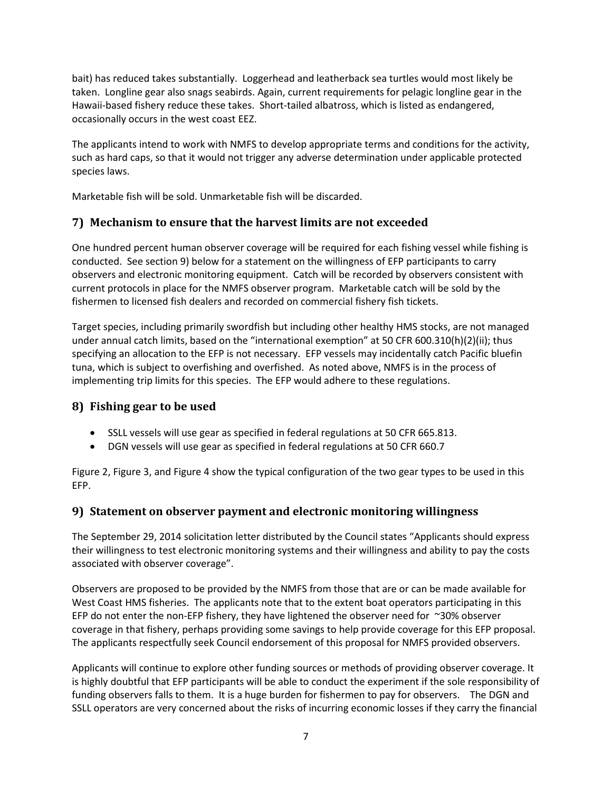bait) has reduced takes substantially. Loggerhead and leatherback sea turtles would most likely be taken. Longline gear also snags seabirds. Again, current requirements for pelagic longline gear in the Hawaii-based fishery reduce these takes. Short-tailed albatross, which is listed as endangered, occasionally occurs in the west coast EEZ.

The applicants intend to work with NMFS to develop appropriate terms and conditions for the activity, such as hard caps, so that it would not trigger any adverse determination under applicable protected species laws.

Marketable fish will be sold. Unmarketable fish will be discarded.

## **7) Mechanism to ensure that the harvest limits are not exceeded**

One hundred percent human observer coverage will be required for each fishing vessel while fishing is conducted. See section [9\)](#page-6-0) below for a statement on the willingness of EFP participants to carry observers and electronic monitoring equipment. Catch will be recorded by observers consistent with current protocols in place for the NMFS observer program. Marketable catch will be sold by the fishermen to licensed fish dealers and recorded on commercial fishery fish tickets.

Target species, including primarily swordfish but including other healthy HMS stocks, are not managed under annual catch limits, based on the "international exemption" at 50 CFR 600.310(h)(2)(ii); thus specifying an allocation to the EFP is not necessary. EFP vessels may incidentally catch Pacific bluefin tuna, which is subject to overfishing and overfished. As noted above, NMFS is in the process of implementing trip limits for this species. The EFP would adhere to these regulations.

### **8) Fishing gear to be used**

- SSLL vessels will use gear as specified in federal regulations at 50 CFR 665.813.
- DGN vessels will use gear as specified in federal regulations at 50 CFR 660.7

[Figure 2,](#page-9-0) [Figure 3,](#page-10-0) an[d Figure 4](#page-10-1) show the typical configuration of the two gear types to be used in this EFP.

### <span id="page-6-0"></span>**9) Statement on observer payment and electronic monitoring willingness**

The September 29, 2014 solicitation letter distributed by the Council states "Applicants should express their willingness to test electronic monitoring systems and their willingness and ability to pay the costs associated with observer coverage".

Observers are proposed to be provided by the NMFS from those that are or can be made available for West Coast HMS fisheries. The applicants note that to the extent boat operators participating in this EFP do not enter the non-EFP fishery, they have lightened the observer need for  $\approx$ 30% observer coverage in that fishery, perhaps providing some savings to help provide coverage for this EFP proposal. The applicants respectfully seek Council endorsement of this proposal for NMFS provided observers.

Applicants will continue to explore other funding sources or methods of providing observer coverage. It is highly doubtful that EFP participants will be able to conduct the experiment if the sole responsibility of funding observers falls to them. It is a huge burden for fishermen to pay for observers. The DGN and SSLL operators are very concerned about the risks of incurring economic losses if they carry the financial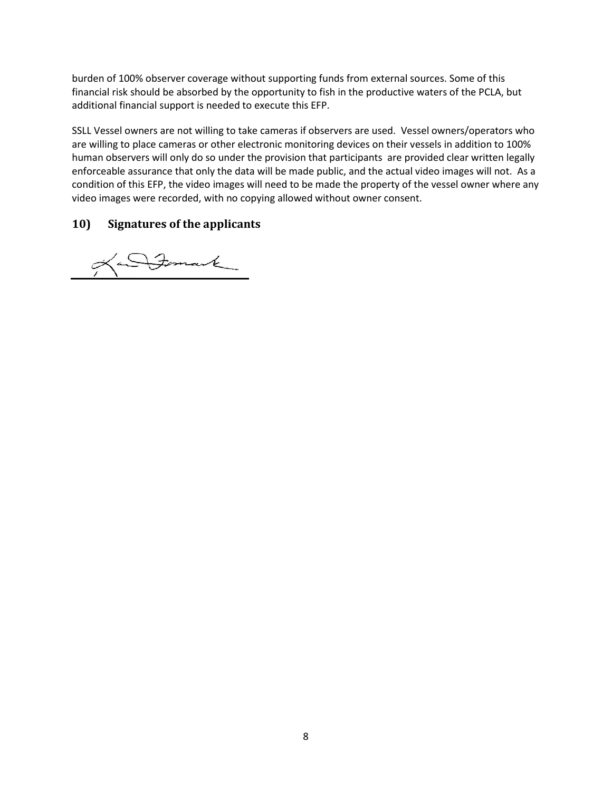burden of 100% observer coverage without supporting funds from external sources. Some of this financial risk should be absorbed by the opportunity to fish in the productive waters of the PCLA, but additional financial support is needed to execute this EFP.

SSLL Vessel owners are not willing to take cameras if observers are used. Vessel owners/operators who are willing to place cameras or other electronic monitoring devices on their vessels in addition to 100% human observers will only do so under the provision that participants are provided clear written legally enforceable assurance that only the data will be made public, and the actual video images will not. As a condition of this EFP, the video images will need to be made the property of the vessel owner where any video images were recorded, with no copying allowed without owner consent.

#### **10) Signatures of the applicants**

an Formank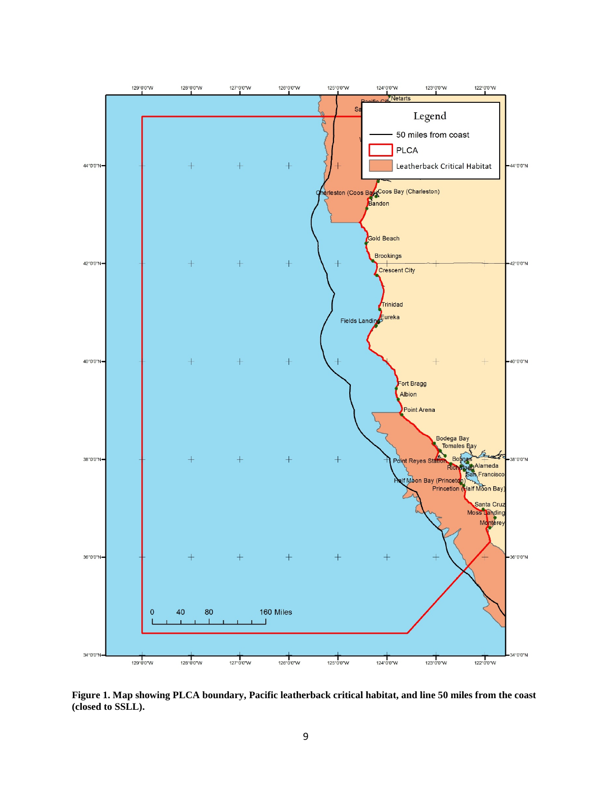

<span id="page-8-0"></span>**Figure 1. Map showing PLCA boundary, Pacific leatherback critical habitat, and line 50 miles from the coast (closed to SSLL).**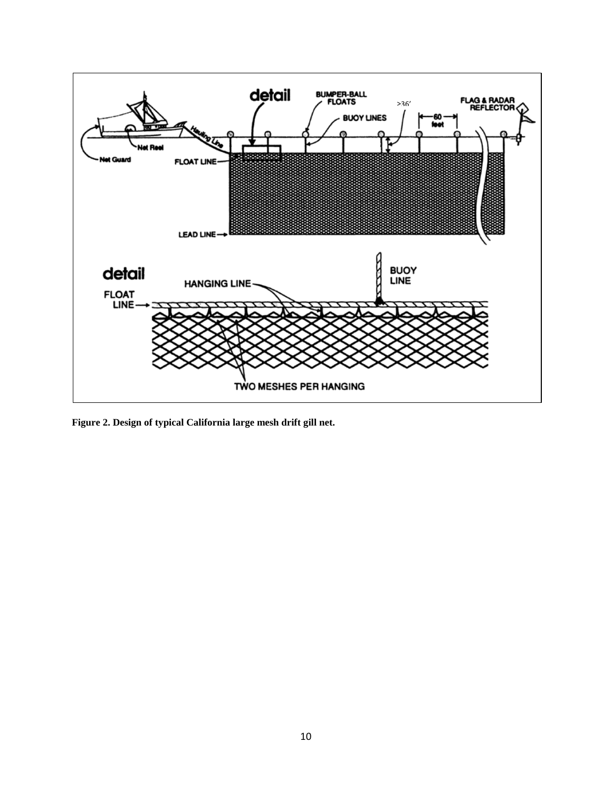

<span id="page-9-0"></span>**Figure 2. Design of typical California large mesh drift gill net.**